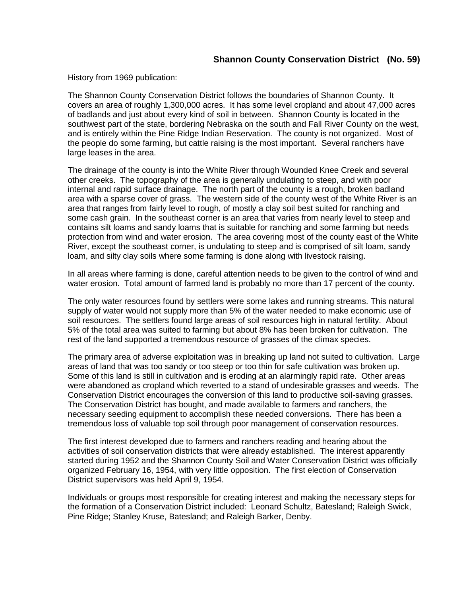## **Shannon County Conservation District (No. 59)**

History from 1969 publication:

The Shannon County Conservation District follows the boundaries of Shannon County. It covers an area of roughly 1,300,000 acres. It has some level cropland and about 47,000 acres of badlands and just about every kind of soil in between. Shannon County is located in the southwest part of the state, bordering Nebraska on the south and Fall River County on the west, and is entirely within the Pine Ridge Indian Reservation. The county is not organized. Most of the people do some farming, but cattle raising is the most important. Several ranchers have large leases in the area.

The drainage of the county is into the White River through Wounded Knee Creek and several other creeks. The topography of the area is generally undulating to steep, and with poor internal and rapid surface drainage. The north part of the county is a rough, broken badland area with a sparse cover of grass. The western side of the county west of the White River is an area that ranges from fairly level to rough, of mostly a clay soil best suited for ranching and some cash grain. In the southeast corner is an area that varies from nearly level to steep and contains silt loams and sandy loams that is suitable for ranching and some farming but needs protection from wind and water erosion. The area covering most of the county east of the White River, except the southeast corner, is undulating to steep and is comprised of silt loam, sandy loam, and silty clay soils where some farming is done along with livestock raising.

In all areas where farming is done, careful attention needs to be given to the control of wind and water erosion. Total amount of farmed land is probably no more than 17 percent of the county.

The only water resources found by settlers were some lakes and running streams. This natural supply of water would not supply more than 5% of the water needed to make economic use of soil resources. The settlers found large areas of soil resources high in natural fertility. About 5% of the total area was suited to farming but about 8% has been broken for cultivation. The rest of the land supported a tremendous resource of grasses of the climax species.

The primary area of adverse exploitation was in breaking up land not suited to cultivation. Large areas of land that was too sandy or too steep or too thin for safe cultivation was broken up. Some of this land is still in cultivation and is eroding at an alarmingly rapid rate. Other areas were abandoned as cropland which reverted to a stand of undesirable grasses and weeds. The Conservation District encourages the conversion of this land to productive soil-saving grasses. The Conservation District has bought, and made available to farmers and ranchers, the necessary seeding equipment to accomplish these needed conversions. There has been a tremendous loss of valuable top soil through poor management of conservation resources.

The first interest developed due to farmers and ranchers reading and hearing about the activities of soil conservation districts that were already established. The interest apparently started during 1952 and the Shannon County Soil and Water Conservation District was officially organized February 16, 1954, with very little opposition. The first election of Conservation District supervisors was held April 9, 1954.

Individuals or groups most responsible for creating interest and making the necessary steps for the formation of a Conservation District included: Leonard Schultz, Batesland; Raleigh Swick, Pine Ridge; Stanley Kruse, Batesland; and Raleigh Barker, Denby.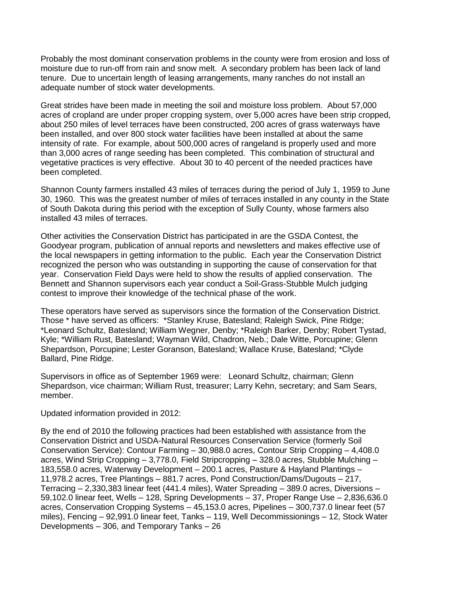Probably the most dominant conservation problems in the county were from erosion and loss of moisture due to run-off from rain and snow melt. A secondary problem has been lack of land tenure. Due to uncertain length of leasing arrangements, many ranches do not install an adequate number of stock water developments.

Great strides have been made in meeting the soil and moisture loss problem. About 57,000 acres of cropland are under proper cropping system, over 5,000 acres have been strip cropped, about 250 miles of level terraces have been constructed, 200 acres of grass waterways have been installed, and over 800 stock water facilities have been installed at about the same intensity of rate. For example, about 500,000 acres of rangeland is properly used and more than 3,000 acres of range seeding has been completed. This combination of structural and vegetative practices is very effective. About 30 to 40 percent of the needed practices have been completed.

Shannon County farmers installed 43 miles of terraces during the period of July 1, 1959 to June 30, 1960. This was the greatest number of miles of terraces installed in any county in the State of South Dakota during this period with the exception of Sully County, whose farmers also installed 43 miles of terraces.

Other activities the Conservation District has participated in are the GSDA Contest, the Goodyear program, publication of annual reports and newsletters and makes effective use of the local newspapers in getting information to the public. Each year the Conservation District recognized the person who was outstanding in supporting the cause of conservation for that year. Conservation Field Days were held to show the results of applied conservation. The Bennett and Shannon supervisors each year conduct a Soil-Grass-Stubble Mulch judging contest to improve their knowledge of the technical phase of the work.

These operators have served as supervisors since the formation of the Conservation District. Those \* have served as officers: \*Stanley Kruse, Batesland; Raleigh Swick, Pine Ridge; \*Leonard Schultz, Batesland; William Wegner, Denby; \*Raleigh Barker, Denby; Robert Tystad, Kyle; \*William Rust, Batesland; Wayman Wild, Chadron, Neb.; Dale Witte, Porcupine; Glenn Shepardson, Porcupine; Lester Goranson, Batesland; Wallace Kruse, Batesland; \*Clyde Ballard, Pine Ridge.

Supervisors in office as of September 1969 were: Leonard Schultz, chairman; Glenn Shepardson, vice chairman; William Rust, treasurer; Larry Kehn, secretary; and Sam Sears, member.

Updated information provided in 2012:

By the end of 2010 the following practices had been established with assistance from the Conservation District and USDA-Natural Resources Conservation Service (formerly Soil Conservation Service): Contour Farming – 30,988.0 acres, Contour Strip Cropping – 4,408.0 acres, Wind Strip Cropping – 3,778.0, Field Stripcropping – 328.0 acres, Stubble Mulching – 183,558.0 acres, Waterway Development – 200.1 acres, Pasture & Hayland Plantings – 11,978.2 acres, Tree Plantings – 881.7 acres, Pond Construction/Dams/Dugouts – 217, Terracing – 2,330,383 linear feet (441.4 miles), Water Spreading – 389.0 acres, Diversions – 59,102.0 linear feet, Wells – 128, Spring Developments – 37, Proper Range Use – 2,836,636.0 acres, Conservation Cropping Systems – 45,153.0 acres, Pipelines – 300,737.0 linear feet (57 miles), Fencing – 92,991.0 linear feet, Tanks – 119, Well Decommissionings – 12, Stock Water Developments – 306, and Temporary Tanks – 26